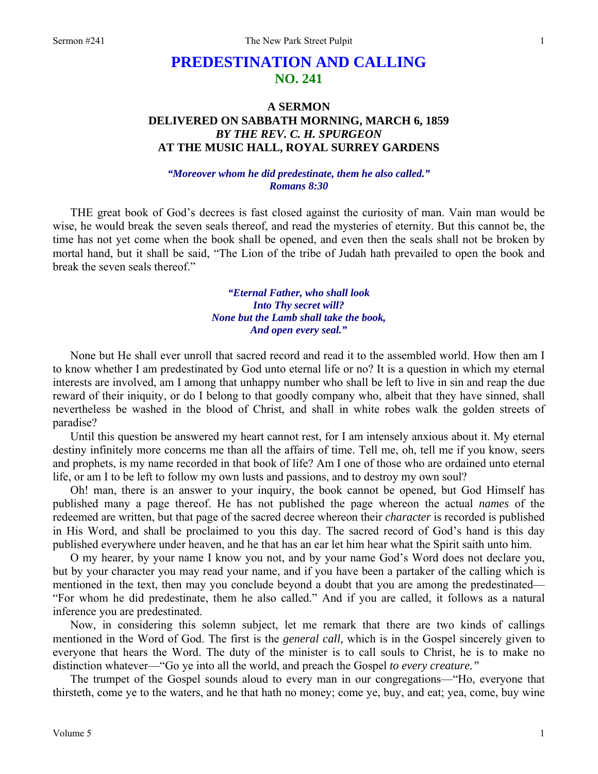# **PREDESTINATION AND CALLING NO. 241**

# **A SERMON DELIVERED ON SABBATH MORNING, MARCH 6, 1859**  *BY THE REV. C. H. SPURGEON*  **AT THE MUSIC HALL, ROYAL SURREY GARDENS**

## *"Moreover whom he did predestinate, them he also called." Romans 8:30*

THE great book of God's decrees is fast closed against the curiosity of man. Vain man would be wise, he would break the seven seals thereof, and read the mysteries of eternity. But this cannot be, the time has not yet come when the book shall be opened, and even then the seals shall not be broken by mortal hand, but it shall be said, "The Lion of the tribe of Judah hath prevailed to open the book and break the seven seals thereof."

> *"Eternal Father, who shall look Into Thy secret will? None but the Lamb shall take the book, And open every seal."*

None but He shall ever unroll that sacred record and read it to the assembled world. How then am I to know whether I am predestinated by God unto eternal life or no? It is a question in which my eternal interests are involved, am I among that unhappy number who shall be left to live in sin and reap the due reward of their iniquity, or do I belong to that goodly company who, albeit that they have sinned, shall nevertheless be washed in the blood of Christ, and shall in white robes walk the golden streets of paradise?

Until this question be answered my heart cannot rest, for I am intensely anxious about it. My eternal destiny infinitely more concerns me than all the affairs of time. Tell me, oh, tell me if you know, seers and prophets, is my name recorded in that book of life? Am I one of those who are ordained unto eternal life, or am I to be left to follow my own lusts and passions, and to destroy my own soul?

Oh! man, there is an answer to your inquiry, the book cannot be opened, but God Himself has published many a page thereof. He has not published the page whereon the actual *names* of the redeemed are written, but that page of the sacred decree whereon their *character* is recorded is published in His Word, and shall be proclaimed to you this day. The sacred record of God's hand is this day published everywhere under heaven, and he that has an ear let him hear what the Spirit saith unto him.

O my hearer, by your name I know you not, and by your name God's Word does not declare you, but by your character you may read your name, and if you have been a partaker of the calling which is mentioned in the text, then may you conclude beyond a doubt that you are among the predestinated— "For whom he did predestinate, them he also called." And if you are called, it follows as a natural inference you are predestinated.

Now, in considering this solemn subject, let me remark that there are two kinds of callings mentioned in the Word of God. The first is the *general call,* which is in the Gospel sincerely given to everyone that hears the Word. The duty of the minister is to call souls to Christ, he is to make no distinction whatever—"Go ye into all the world, and preach the Gospel *to every creature."*

The trumpet of the Gospel sounds aloud to every man in our congregations—"Ho, everyone that thirsteth, come ye to the waters, and he that hath no money; come ye, buy, and eat; yea, come, buy wine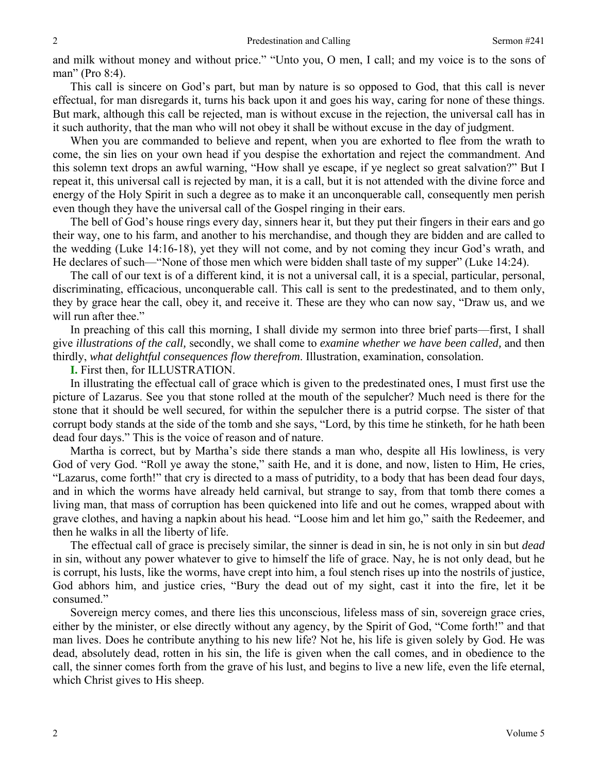and milk without money and without price." "Unto you, O men, I call; and my voice is to the sons of man" (Pro 8:4).

This call is sincere on God's part, but man by nature is so opposed to God, that this call is never effectual, for man disregards it, turns his back upon it and goes his way, caring for none of these things. But mark, although this call be rejected, man is without excuse in the rejection, the universal call has in it such authority, that the man who will not obey it shall be without excuse in the day of judgment.

When you are commanded to believe and repent, when you are exhorted to flee from the wrath to come, the sin lies on your own head if you despise the exhortation and reject the commandment. And this solemn text drops an awful warning, "How shall ye escape, if ye neglect so great salvation?" But I repeat it, this universal call is rejected by man, it is a call, but it is not attended with the divine force and energy of the Holy Spirit in such a degree as to make it an unconquerable call, consequently men perish even though they have the universal call of the Gospel ringing in their ears.

The bell of God's house rings every day, sinners hear it, but they put their fingers in their ears and go their way, one to his farm, and another to his merchandise, and though they are bidden and are called to the wedding (Luke 14:16-18), yet they will not come, and by not coming they incur God's wrath, and He declares of such—"None of those men which were bidden shall taste of my supper" (Luke 14:24).

The call of our text is of a different kind, it is not a universal call, it is a special, particular, personal, discriminating, efficacious, unconquerable call. This call is sent to the predestinated, and to them only, they by grace hear the call, obey it, and receive it. These are they who can now say, "Draw us, and we will run after thee."

In preaching of this call this morning, I shall divide my sermon into three brief parts—first, I shall give *illustrations of the call,* secondly, we shall come to *examine whether we have been called,* and then thirdly, *what delightful consequences flow therefrom*. Illustration, examination, consolation.

## **I.** First then, for ILLUSTRATION.

In illustrating the effectual call of grace which is given to the predestinated ones, I must first use the picture of Lazarus. See you that stone rolled at the mouth of the sepulcher? Much need is there for the stone that it should be well secured, for within the sepulcher there is a putrid corpse. The sister of that corrupt body stands at the side of the tomb and she says, "Lord, by this time he stinketh, for he hath been dead four days." This is the voice of reason and of nature.

Martha is correct, but by Martha's side there stands a man who, despite all His lowliness, is very God of very God. "Roll ye away the stone," saith He, and it is done, and now, listen to Him, He cries, "Lazarus, come forth!" that cry is directed to a mass of putridity, to a body that has been dead four days, and in which the worms have already held carnival, but strange to say, from that tomb there comes a living man, that mass of corruption has been quickened into life and out he comes, wrapped about with grave clothes, and having a napkin about his head. "Loose him and let him go," saith the Redeemer, and then he walks in all the liberty of life.

The effectual call of grace is precisely similar, the sinner is dead in sin, he is not only in sin but *dead* in sin, without any power whatever to give to himself the life of grace. Nay, he is not only dead, but he is corrupt, his lusts, like the worms, have crept into him, a foul stench rises up into the nostrils of justice, God abhors him, and justice cries, "Bury the dead out of my sight, cast it into the fire, let it be consumed."

Sovereign mercy comes, and there lies this unconscious, lifeless mass of sin, sovereign grace cries, either by the minister, or else directly without any agency, by the Spirit of God, "Come forth!" and that man lives. Does he contribute anything to his new life? Not he, his life is given solely by God. He was dead, absolutely dead, rotten in his sin, the life is given when the call comes, and in obedience to the call, the sinner comes forth from the grave of his lust, and begins to live a new life, even the life eternal, which Christ gives to His sheep.

2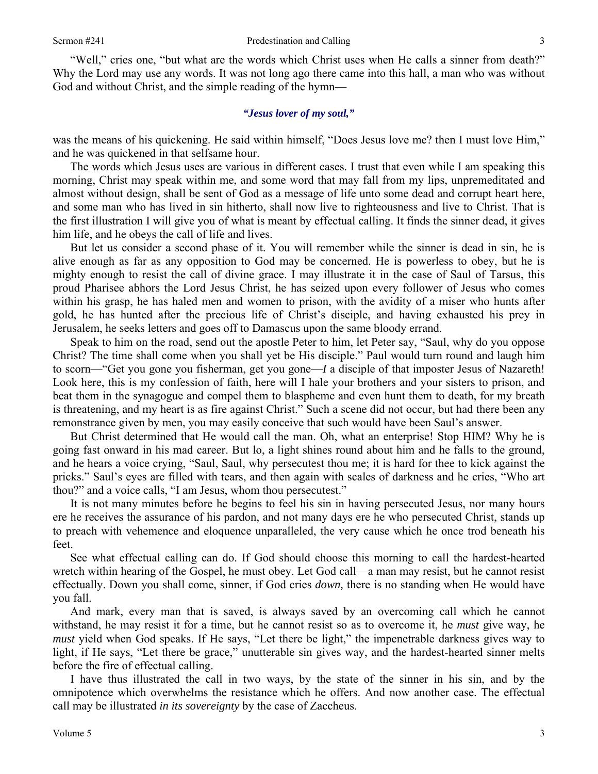"Well," cries one, "but what are the words which Christ uses when He calls a sinner from death?" Why the Lord may use any words. It was not long ago there came into this hall, a man who was without God and without Christ, and the simple reading of the hymn—

#### *"Jesus lover of my soul,"*

was the means of his quickening. He said within himself, "Does Jesus love me? then I must love Him," and he was quickened in that selfsame hour.

 The words which Jesus uses are various in different cases. I trust that even while I am speaking this morning, Christ may speak within me, and some word that may fall from my lips, unpremeditated and almost without design, shall be sent of God as a message of life unto some dead and corrupt heart here, and some man who has lived in sin hitherto, shall now live to righteousness and live to Christ. That is the first illustration I will give you of what is meant by effectual calling. It finds the sinner dead, it gives him life, and he obeys the call of life and lives.

But let us consider a second phase of it. You will remember while the sinner is dead in sin, he is alive enough as far as any opposition to God may be concerned. He is powerless to obey, but he is mighty enough to resist the call of divine grace. I may illustrate it in the case of Saul of Tarsus, this proud Pharisee abhors the Lord Jesus Christ, he has seized upon every follower of Jesus who comes within his grasp, he has haled men and women to prison, with the avidity of a miser who hunts after gold, he has hunted after the precious life of Christ's disciple, and having exhausted his prey in Jerusalem, he seeks letters and goes off to Damascus upon the same bloody errand.

Speak to him on the road, send out the apostle Peter to him, let Peter say, "Saul, why do you oppose Christ? The time shall come when you shall yet be His disciple." Paul would turn round and laugh him to scorn—"Get you gone you fisherman, get you gone—*I* a disciple of that imposter Jesus of Nazareth! Look here, this is my confession of faith, here will I hale your brothers and your sisters to prison, and beat them in the synagogue and compel them to blaspheme and even hunt them to death, for my breath is threatening, and my heart is as fire against Christ." Such a scene did not occur, but had there been any remonstrance given by men, you may easily conceive that such would have been Saul's answer.

But Christ determined that He would call the man. Oh, what an enterprise! Stop HIM? Why he is going fast onward in his mad career. But lo, a light shines round about him and he falls to the ground, and he hears a voice crying, "Saul, Saul, why persecutest thou me; it is hard for thee to kick against the pricks." Saul's eyes are filled with tears, and then again with scales of darkness and he cries, "Who art thou?" and a voice calls, "I am Jesus, whom thou persecutest."

It is not many minutes before he begins to feel his sin in having persecuted Jesus, nor many hours ere he receives the assurance of his pardon, and not many days ere he who persecuted Christ, stands up to preach with vehemence and eloquence unparalleled, the very cause which he once trod beneath his feet.

See what effectual calling can do. If God should choose this morning to call the hardest-hearted wretch within hearing of the Gospel, he must obey. Let God call—a man may resist, but he cannot resist effectually. Down you shall come, sinner, if God cries *down,* there is no standing when He would have you fall.

And mark, every man that is saved, is always saved by an overcoming call which he cannot withstand, he may resist it for a time, but he cannot resist so as to overcome it, he *must* give way, he *must* yield when God speaks. If He says, "Let there be light," the impenetrable darkness gives way to light, if He says, "Let there be grace," unutterable sin gives way, and the hardest-hearted sinner melts before the fire of effectual calling.

I have thus illustrated the call in two ways, by the state of the sinner in his sin, and by the omnipotence which overwhelms the resistance which he offers. And now another case. The effectual call may be illustrated *in its sovereignty* by the case of Zaccheus.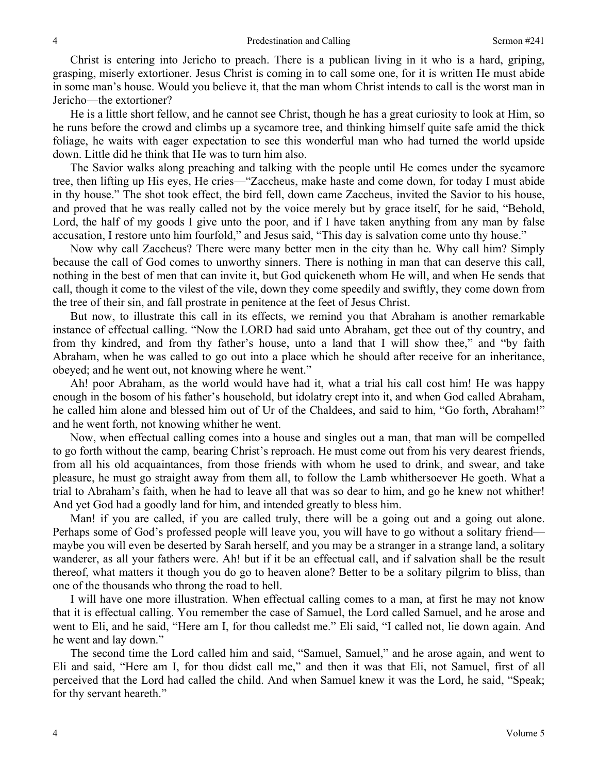Christ is entering into Jericho to preach. There is a publican living in it who is a hard, griping, grasping, miserly extortioner. Jesus Christ is coming in to call some one, for it is written He must abide in some man's house. Would you believe it, that the man whom Christ intends to call is the worst man in Jericho—the extortioner?

He is a little short fellow, and he cannot see Christ, though he has a great curiosity to look at Him, so he runs before the crowd and climbs up a sycamore tree, and thinking himself quite safe amid the thick foliage, he waits with eager expectation to see this wonderful man who had turned the world upside down. Little did he think that He was to turn him also.

The Savior walks along preaching and talking with the people until He comes under the sycamore tree, then lifting up His eyes, He cries—"Zaccheus, make haste and come down, for today I must abide in thy house." The shot took effect, the bird fell, down came Zaccheus, invited the Savior to his house, and proved that he was really called not by the voice merely but by grace itself, for he said, "Behold, Lord, the half of my goods I give unto the poor, and if I have taken anything from any man by false accusation, I restore unto him fourfold," and Jesus said, "This day is salvation come unto thy house."

Now why call Zaccheus? There were many better men in the city than he. Why call him? Simply because the call of God comes to unworthy sinners. There is nothing in man that can deserve this call, nothing in the best of men that can invite it, but God quickeneth whom He will, and when He sends that call, though it come to the vilest of the vile, down they come speedily and swiftly, they come down from the tree of their sin, and fall prostrate in penitence at the feet of Jesus Christ.

But now, to illustrate this call in its effects, we remind you that Abraham is another remarkable instance of effectual calling. "Now the LORD had said unto Abraham, get thee out of thy country, and from thy kindred, and from thy father's house, unto a land that I will show thee," and "by faith Abraham, when he was called to go out into a place which he should after receive for an inheritance, obeyed; and he went out, not knowing where he went."

Ah! poor Abraham, as the world would have had it, what a trial his call cost him! He was happy enough in the bosom of his father's household, but idolatry crept into it, and when God called Abraham, he called him alone and blessed him out of Ur of the Chaldees, and said to him, "Go forth, Abraham!" and he went forth, not knowing whither he went.

Now, when effectual calling comes into a house and singles out a man, that man will be compelled to go forth without the camp, bearing Christ's reproach. He must come out from his very dearest friends, from all his old acquaintances, from those friends with whom he used to drink, and swear, and take pleasure, he must go straight away from them all, to follow the Lamb whithersoever He goeth. What a trial to Abraham's faith, when he had to leave all that was so dear to him, and go he knew not whither! And yet God had a goodly land for him, and intended greatly to bless him.

Man! if you are called, if you are called truly, there will be a going out and a going out alone. Perhaps some of God's professed people will leave you, you will have to go without a solitary friend maybe you will even be deserted by Sarah herself, and you may be a stranger in a strange land, a solitary wanderer, as all your fathers were. Ah! but if it be an effectual call, and if salvation shall be the result thereof, what matters it though you do go to heaven alone? Better to be a solitary pilgrim to bliss, than one of the thousands who throng the road to hell.

I will have one more illustration. When effectual calling comes to a man, at first he may not know that it is effectual calling. You remember the case of Samuel, the Lord called Samuel, and he arose and went to Eli, and he said, "Here am I, for thou calledst me." Eli said, "I called not, lie down again. And he went and lay down."

The second time the Lord called him and said, "Samuel, Samuel," and he arose again, and went to Eli and said, "Here am I, for thou didst call me," and then it was that Eli, not Samuel, first of all perceived that the Lord had called the child. And when Samuel knew it was the Lord, he said, "Speak; for thy servant heareth."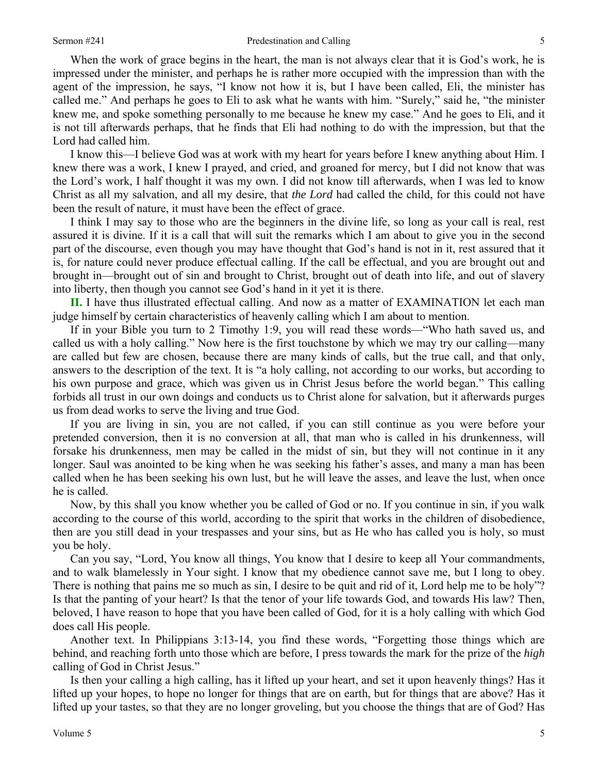When the work of grace begins in the heart, the man is not always clear that it is God's work, he is impressed under the minister, and perhaps he is rather more occupied with the impression than with the agent of the impression, he says, "I know not how it is, but I have been called, Eli, the minister has called me." And perhaps he goes to Eli to ask what he wants with him. "Surely," said he, "the minister knew me, and spoke something personally to me because he knew my case." And he goes to Eli, and it is not till afterwards perhaps, that he finds that Eli had nothing to do with the impression, but that the Lord had called him.

I know this—I believe God was at work with my heart for years before I knew anything about Him. I knew there was a work, I knew I prayed, and cried, and groaned for mercy, but I did not know that was the Lord's work, I half thought it was my own. I did not know till afterwards, when I was led to know Christ as all my salvation, and all my desire, that *the Lord* had called the child, for this could not have been the result of nature, it must have been the effect of grace.

I think I may say to those who are the beginners in the divine life, so long as your call is real, rest assured it is divine. If it is a call that will suit the remarks which I am about to give you in the second part of the discourse, even though you may have thought that God's hand is not in it, rest assured that it is, for nature could never produce effectual calling. If the call be effectual, and you are brought out and brought in—brought out of sin and brought to Christ, brought out of death into life, and out of slavery into liberty, then though you cannot see God's hand in it yet it is there.

**II.** I have thus illustrated effectual calling. And now as a matter of EXAMINATION let each man judge himself by certain characteristics of heavenly calling which I am about to mention.

If in your Bible you turn to 2 Timothy 1:9, you will read these words—"Who hath saved us, and called us with a holy calling." Now here is the first touchstone by which we may try our calling—many are called but few are chosen, because there are many kinds of calls, but the true call, and that only, answers to the description of the text. It is "a holy calling, not according to our works, but according to his own purpose and grace, which was given us in Christ Jesus before the world began." This calling forbids all trust in our own doings and conducts us to Christ alone for salvation, but it afterwards purges us from dead works to serve the living and true God.

If you are living in sin, you are not called, if you can still continue as you were before your pretended conversion, then it is no conversion at all, that man who is called in his drunkenness, will forsake his drunkenness, men may be called in the midst of sin, but they will not continue in it any longer. Saul was anointed to be king when he was seeking his father's asses, and many a man has been called when he has been seeking his own lust, but he will leave the asses, and leave the lust, when once he is called.

Now, by this shall you know whether you be called of God or no. If you continue in sin, if you walk according to the course of this world, according to the spirit that works in the children of disobedience, then are you still dead in your trespasses and your sins, but as He who has called you is holy, so must you be holy.

Can you say, "Lord, You know all things, You know that I desire to keep all Your commandments, and to walk blamelessly in Your sight. I know that my obedience cannot save me, but I long to obey. There is nothing that pains me so much as sin, I desire to be quit and rid of it, Lord help me to be holy"? Is that the panting of your heart? Is that the tenor of your life towards God, and towards His law? Then, beloved, I have reason to hope that you have been called of God, for it is a holy calling with which God does call His people.

Another text. In Philippians 3:13-14, you find these words, "Forgetting those things which are behind, and reaching forth unto those which are before, I press towards the mark for the prize of the *high* calling of God in Christ Jesus."

Is then your calling a high calling, has it lifted up your heart, and set it upon heavenly things? Has it lifted up your hopes, to hope no longer for things that are on earth, but for things that are above? Has it lifted up your tastes, so that they are no longer groveling, but you choose the things that are of God? Has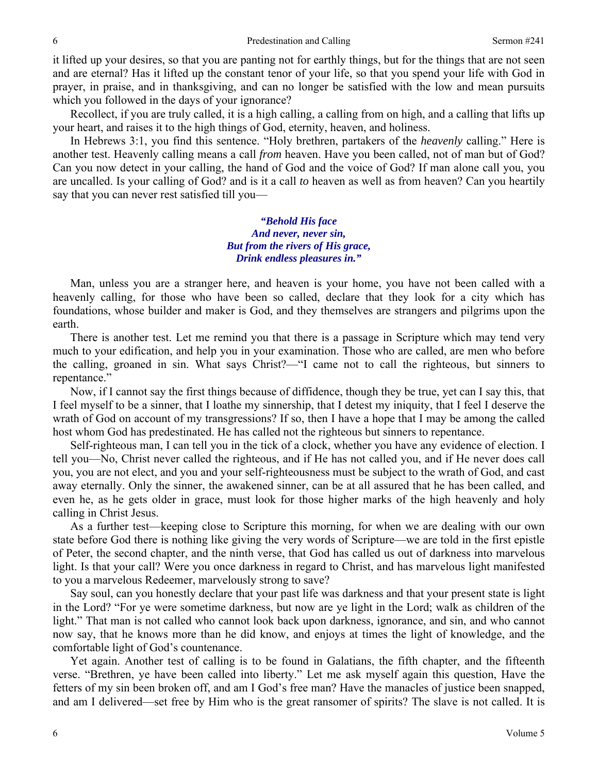it lifted up your desires, so that you are panting not for earthly things, but for the things that are not seen and are eternal? Has it lifted up the constant tenor of your life, so that you spend your life with God in prayer, in praise, and in thanksgiving, and can no longer be satisfied with the low and mean pursuits which you followed in the days of your ignorance?

Recollect, if you are truly called, it is a high calling, a calling from on high, and a calling that lifts up your heart, and raises it to the high things of God, eternity, heaven, and holiness.

In Hebrews 3:1, you find this sentence. "Holy brethren, partakers of the *heavenly* calling." Here is another test. Heavenly calling means a call *from* heaven. Have you been called, not of man but of God? Can you now detect in your calling, the hand of God and the voice of God? If man alone call you, you are uncalled. Is your calling of God? and is it a call *to* heaven as well as from heaven? Can you heartily say that you can never rest satisfied till you—

> *"Behold His face And never, never sin, But from the rivers of His grace, Drink endless pleasures in."*

Man, unless you are a stranger here, and heaven is your home, you have not been called with a heavenly calling, for those who have been so called, declare that they look for a city which has foundations, whose builder and maker is God, and they themselves are strangers and pilgrims upon the earth.

There is another test. Let me remind you that there is a passage in Scripture which may tend very much to your edification, and help you in your examination. Those who are called, are men who before the calling, groaned in sin. What says Christ?—"I came not to call the righteous, but sinners to repentance."

Now, if I cannot say the first things because of diffidence, though they be true, yet can I say this, that I feel myself to be a sinner, that I loathe my sinnership, that I detest my iniquity, that I feel I deserve the wrath of God on account of my transgressions? If so, then I have a hope that I may be among the called host whom God has predestinated. He has called not the righteous but sinners to repentance.

Self-righteous man, I can tell you in the tick of a clock, whether you have any evidence of election. I tell you—No, Christ never called the righteous, and if He has not called you, and if He never does call you, you are not elect, and you and your self-righteousness must be subject to the wrath of God, and cast away eternally. Only the sinner, the awakened sinner, can be at all assured that he has been called, and even he, as he gets older in grace, must look for those higher marks of the high heavenly and holy calling in Christ Jesus.

As a further test—keeping close to Scripture this morning, for when we are dealing with our own state before God there is nothing like giving the very words of Scripture—we are told in the first epistle of Peter, the second chapter, and the ninth verse, that God has called us out of darkness into marvelous light. Is that your call? Were you once darkness in regard to Christ, and has marvelous light manifested to you a marvelous Redeemer, marvelously strong to save?

Say soul, can you honestly declare that your past life was darkness and that your present state is light in the Lord? "For ye were sometime darkness, but now are ye light in the Lord; walk as children of the light." That man is not called who cannot look back upon darkness, ignorance, and sin, and who cannot now say, that he knows more than he did know, and enjoys at times the light of knowledge, and the comfortable light of God's countenance.

Yet again. Another test of calling is to be found in Galatians, the fifth chapter, and the fifteenth verse. "Brethren, ye have been called into liberty." Let me ask myself again this question, Have the fetters of my sin been broken off, and am I God's free man? Have the manacles of justice been snapped, and am I delivered—set free by Him who is the great ransomer of spirits? The slave is not called. It is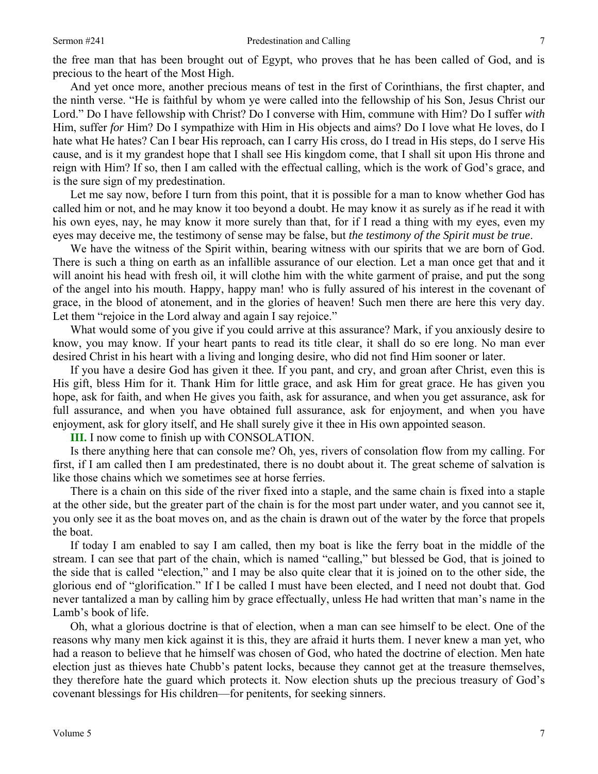the free man that has been brought out of Egypt, who proves that he has been called of God, and is precious to the heart of the Most High.

And yet once more, another precious means of test in the first of Corinthians, the first chapter, and the ninth verse. "He is faithful by whom ye were called into the fellowship of his Son, Jesus Christ our Lord." Do I have fellowship with Christ? Do I converse with Him, commune with Him? Do I suffer *with* Him, suffer *for* Him? Do I sympathize with Him in His objects and aims? Do I love what He loves, do I hate what He hates? Can I bear His reproach, can I carry His cross, do I tread in His steps, do I serve His cause, and is it my grandest hope that I shall see His kingdom come, that I shall sit upon His throne and reign with Him? If so, then I am called with the effectual calling, which is the work of God's grace, and is the sure sign of my predestination.

Let me say now, before I turn from this point, that it is possible for a man to know whether God has called him or not, and he may know it too beyond a doubt. He may know it as surely as if he read it with his own eyes, nay, he may know it more surely than that, for if I read a thing with my eyes, even my eyes may deceive me, the testimony of sense may be false, but *the testimony of the Spirit must be true*.

We have the witness of the Spirit within, bearing witness with our spirits that we are born of God. There is such a thing on earth as an infallible assurance of our election. Let a man once get that and it will anoint his head with fresh oil, it will clothe him with the white garment of praise, and put the song of the angel into his mouth. Happy, happy man! who is fully assured of his interest in the covenant of grace, in the blood of atonement, and in the glories of heaven! Such men there are here this very day. Let them "rejoice in the Lord alway and again I say rejoice."

What would some of you give if you could arrive at this assurance? Mark, if you anxiously desire to know, you may know. If your heart pants to read its title clear, it shall do so ere long. No man ever desired Christ in his heart with a living and longing desire, who did not find Him sooner or later.

If you have a desire God has given it thee*.* If you pant, and cry, and groan after Christ, even this is His gift, bless Him for it. Thank Him for little grace, and ask Him for great grace. He has given you hope, ask for faith, and when He gives you faith, ask for assurance, and when you get assurance, ask for full assurance, and when you have obtained full assurance, ask for enjoyment, and when you have enjoyment, ask for glory itself, and He shall surely give it thee in His own appointed season.

**III.** I now come to finish up with CONSOLATION.

Is there anything here that can console me? Oh, yes, rivers of consolation flow from my calling. For first, if I am called then I am predestinated, there is no doubt about it. The great scheme of salvation is like those chains which we sometimes see at horse ferries.

There is a chain on this side of the river fixed into a staple, and the same chain is fixed into a staple at the other side, but the greater part of the chain is for the most part under water, and you cannot see it, you only see it as the boat moves on, and as the chain is drawn out of the water by the force that propels the boat.

If today I am enabled to say I am called, then my boat is like the ferry boat in the middle of the stream. I can see that part of the chain, which is named "calling," but blessed be God, that is joined to the side that is called "election," and I may be also quite clear that it is joined on to the other side, the glorious end of "glorification." If I be called I must have been elected, and I need not doubt that. God never tantalized a man by calling him by grace effectually, unless He had written that man's name in the Lamb's book of life.

Oh, what a glorious doctrine is that of election, when a man can see himself to be elect. One of the reasons why many men kick against it is this, they are afraid it hurts them. I never knew a man yet, who had a reason to believe that he himself was chosen of God, who hated the doctrine of election. Men hate election just as thieves hate Chubb's patent locks, because they cannot get at the treasure themselves, they therefore hate the guard which protects it. Now election shuts up the precious treasury of God's covenant blessings for His children—for penitents, for seeking sinners.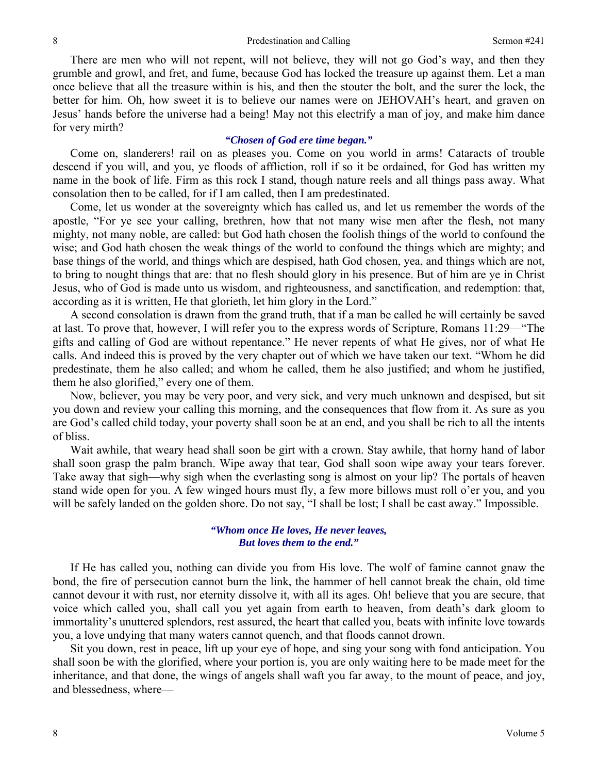There are men who will not repent, will not believe, they will not go God's way, and then they grumble and growl, and fret, and fume, because God has locked the treasure up against them. Let a man once believe that all the treasure within is his, and then the stouter the bolt, and the surer the lock, the better for him. Oh, how sweet it is to believe our names were on JEHOVAH's heart, and graven on Jesus' hands before the universe had a being! May not this electrify a man of joy, and make him dance for very mirth?

#### *"Chosen of God ere time began."*

Come on, slanderers! rail on as pleases you. Come on you world in arms! Cataracts of trouble descend if you will, and you, ye floods of affliction, roll if so it be ordained, for God has written my name in the book of life. Firm as this rock I stand, though nature reels and all things pass away. What consolation then to be called, for if I am called, then I am predestinated.

Come, let us wonder at the sovereignty which has called us, and let us remember the words of the apostle, "For ye see your calling, brethren, how that not many wise men after the flesh, not many mighty, not many noble, are called: but God hath chosen the foolish things of the world to confound the wise; and God hath chosen the weak things of the world to confound the things which are mighty; and base things of the world, and things which are despised, hath God chosen, yea, and things which are not, to bring to nought things that are: that no flesh should glory in his presence. But of him are ye in Christ Jesus, who of God is made unto us wisdom, and righteousness, and sanctification, and redemption: that, according as it is written, He that glorieth, let him glory in the Lord."

A second consolation is drawn from the grand truth, that if a man be called he will certainly be saved at last. To prove that, however, I will refer you to the express words of Scripture, Romans 11:29—"The gifts and calling of God are without repentance." He never repents of what He gives, nor of what He calls. And indeed this is proved by the very chapter out of which we have taken our text. "Whom he did predestinate, them he also called; and whom he called, them he also justified; and whom he justified, them he also glorified," every one of them.

Now, believer, you may be very poor, and very sick, and very much unknown and despised, but sit you down and review your calling this morning, and the consequences that flow from it. As sure as you are God's called child today, your poverty shall soon be at an end, and you shall be rich to all the intents of bliss.

Wait awhile, that weary head shall soon be girt with a crown. Stay awhile, that horny hand of labor shall soon grasp the palm branch. Wipe away that tear, God shall soon wipe away your tears forever. Take away that sigh—why sigh when the everlasting song is almost on your lip? The portals of heaven stand wide open for you. A few winged hours must fly, a few more billows must roll o'er you, and you will be safely landed on the golden shore. Do not say, "I shall be lost; I shall be cast away." Impossible.

#### *"Whom once He loves, He never leaves, But loves them to the end."*

If He has called you, nothing can divide you from His love. The wolf of famine cannot gnaw the bond, the fire of persecution cannot burn the link, the hammer of hell cannot break the chain, old time cannot devour it with rust, nor eternity dissolve it, with all its ages. Oh! believe that you are secure, that voice which called you, shall call you yet again from earth to heaven, from death's dark gloom to immortality's unuttered splendors, rest assured, the heart that called you, beats with infinite love towards you, a love undying that many waters cannot quench, and that floods cannot drown.

Sit you down, rest in peace, lift up your eye of hope, and sing your song with fond anticipation. You shall soon be with the glorified, where your portion is, you are only waiting here to be made meet for the inheritance, and that done, the wings of angels shall waft you far away, to the mount of peace, and joy, and blessedness, where—